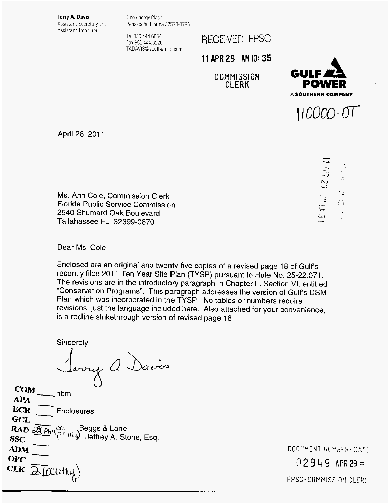**Terry A. Davis**  Assistant Secretary and Assistant Treasurer

One Energy Place Pensacola. Florida 32520-0786

Tel 850.444 6664 Fax 850 444.6026 TADAVlS@southernco.com RECEIVED-FPSC

**11 APR 29 AH IO: 35** 

**COMMISSION CLERK** 





ಫ  $\ddot{\omega}$ 

April 28, 2011

Ms. Ann Cole, Commission Clerk Florida Public Service Commission 2540 Shumard Oak Boulevard Tallahassee FL 32399-0870

Dear Ms. Cole:

Enclosed are an original and twenty-five copies of a revised page 18 of Gulf's recently filed 2011 Ten Year Site Plan (TYSP) pursuant to Rule No. 25-22.071. The revisions are in the introductory paragraph in Chapter 11, Section VI. entitled "Conservation Programs". This paragraph addresses the version of Gulf's DSM Plan which was incorporated in the TYSP. No tables or numbers require revisions, just the language included here. Also attached for your convenience, is a redline strikethrough version of revised page 18.

Sincerely,

 $\bigcup$  $\frac{1}{4PA}$ <br>  $\frac{1}{2}$  nbm

**APA ECR GCL GCL**<br>**RAD**  $\overline{\mathfrak{A}_{\text{Phil}}^{\text{cc}}}$  (cc: Seggs & Lane **RAD**  $\overline{\mathfrak{A}_{\text{Ell}}^{\text{cc}}}$  ) Jeffrey A. Stone, Esq. **OPC**   $\frac{1}{\frac{1}{1-\frac{1}{1-\frac{1}{1-\frac{1}{1-\frac{1}{1-\frac{1}{1-\frac{1}{1-\frac{1}{1-\frac{1}{1-\frac{1}{1-\frac{1}{1-\frac{1}{1-\frac{1}{1-\frac{1}{1-\frac{1}{1-\frac{1}{1-\frac{1}{1-\frac{1}{1-\frac{1}{1-\frac{1}{1-\frac{1}{1-\frac{1}{1-\frac{1}{1-\frac{1}{1-\frac{1}{1-\frac{1}{1-\frac{1}{1-\frac{1}{1-\frac{1}{1-\frac{1}{1-\frac{1}{1-\frac{1}{1-\frac{1}{1-\frac{1}{1-\frac{1}{1-\frac{1}{$ **Enclosures** *2\_*  **ECR** <br> **ADD**<br> **ADD**<br> **ADM**<br> **DPC**<br>
TK

DOCUMENT NUMBER-DATE  $02949$  APR 29 = FPSC-COMMISSION CLERE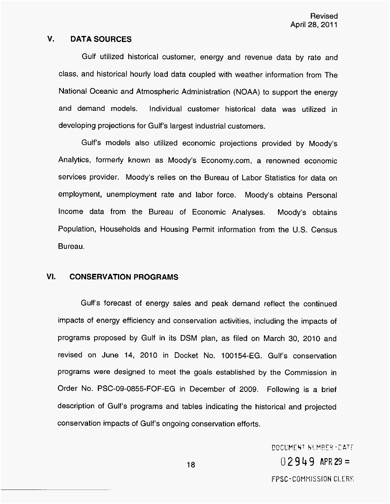## **V. DATA SOURCES**

Gulf utilized historical customer, energy and revenue data by rate and class, and historical hourly load data coupled with weather information from The National Oceanic and Atmospheric Administration (NOAA) to support the energy and demand models. Individual customer historical data was utilized in developing projections for Gulf's largest industrial customers.

Gulf's models also utilized economic projections provided by Moody's Analytics, formerly known as Moody's Economy.com, a renowned economic services provider. Moody's relies on the Bureau of Labor Statistics for data on employment, unemployment rate and labor force. Moody's obtains Personal Income data from the Bureau of Economic Analyses. Moody's obtains Population, Households and Housing Permit information from the U.S. Census Bureau.

## **VI. CONSERVATION PROGRAMS**

Gulf's forecast of energy sales and peak demand reflect the continued impacts of energy efficiency and conservation activities, including the impacts of programs proposed by Gulf in its DSM plan, as filed on March 30, 2010 and revised on June 14, 2010 in Docket No. 100154-EG. Gulf's conservation programs were designed to meet the goals established by the Commission in Order No. PSC-09-0855-FOF-EG in December of 2009. Following is a brief description of Gulf's programs and tables indicating the historical and projected conservation impacts of Gulf's ongoing conservation efforts.

> DOCUMENT NUMBER-DATE  $02949$  APR 29 = FPSC-COMMISSION CLERK

18